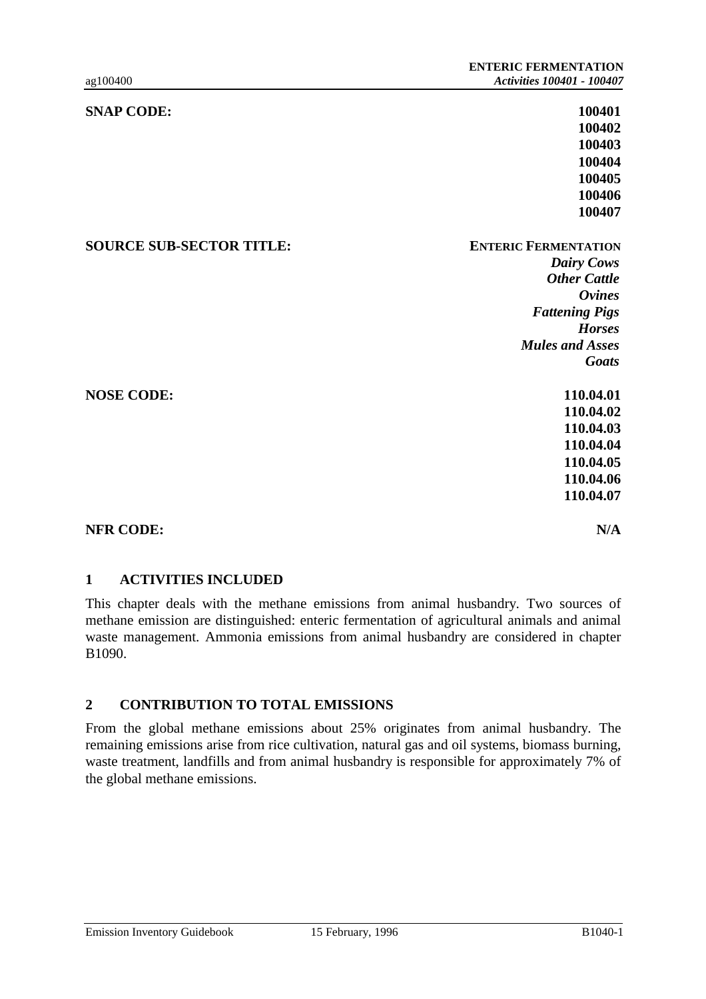| <b>SNAP CODE:</b>               | 100401                      |
|---------------------------------|-----------------------------|
|                                 | 100402                      |
|                                 | 100403                      |
|                                 | 100404                      |
|                                 | 100405                      |
|                                 | 100406                      |
|                                 | 100407                      |
| <b>SOURCE SUB-SECTOR TITLE:</b> | <b>ENTERIC FERMENTATION</b> |
|                                 | <b>Dairy Cows</b>           |
|                                 | <b>Other Cattle</b>         |
|                                 | <b>Ovines</b>               |
|                                 | <b>Fattening Pigs</b>       |
|                                 | <b>Horses</b>               |
|                                 | <b>Mules and Asses</b>      |
|                                 | <b>Goats</b>                |
| <b>NOSE CODE:</b>               | 110.04.01                   |
|                                 | 110.04.02                   |
|                                 | 110.04.03                   |
|                                 | 110.04.04                   |
|                                 | 110.04.05                   |
|                                 | 110.04.06                   |
|                                 | 110.04.07                   |
| <b>NFR CODE:</b>                | N/A                         |

## **1 ACTIVITIES INCLUDED**

This chapter deals with the methane emissions from animal husbandry. Two sources of methane emission are distinguished: enteric fermentation of agricultural animals and animal waste management. Ammonia emissions from animal husbandry are considered in chapter B1090.

# **2 CONTRIBUTION TO TOTAL EMISSIONS**

From the global methane emissions about 25% originates from animal husbandry. The remaining emissions arise from rice cultivation, natural gas and oil systems, biomass burning, waste treatment, landfills and from animal husbandry is responsible for approximately 7% of the global methane emissions.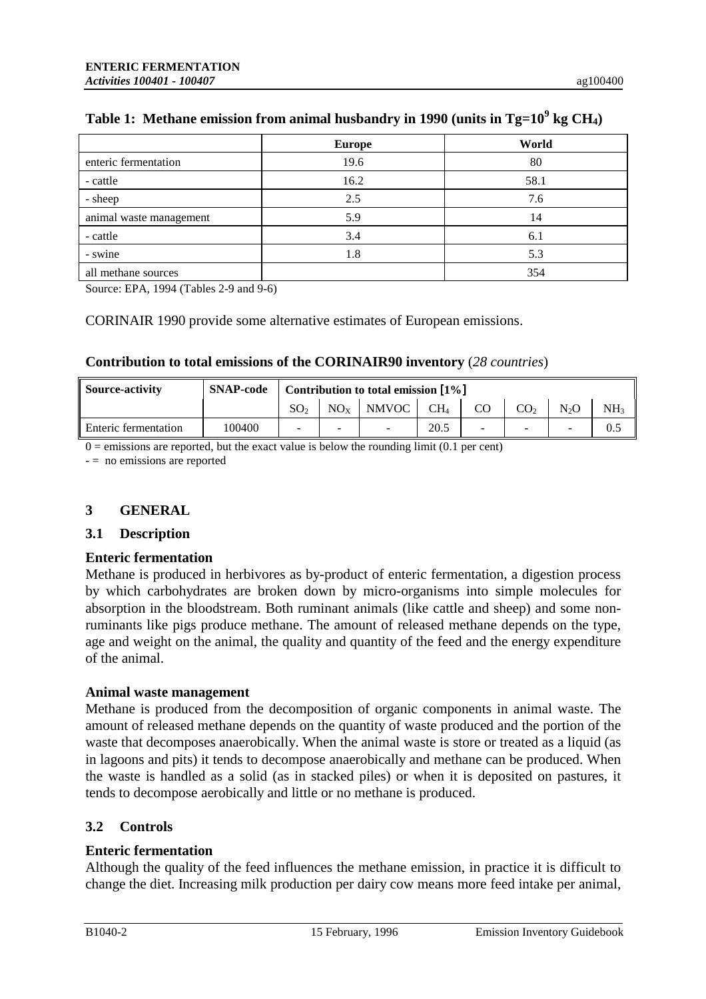|                         | <b>Europe</b> | World |
|-------------------------|---------------|-------|
| enteric fermentation    | 19.6          | 80    |
| - cattle                | 16.2          | 58.1  |
| - sheep                 | 2.5           | 7.6   |
| animal waste management | 5.9           | 14    |
| - cattle                | 3.4           | 6.1   |
| - swine                 | 1.8           | 5.3   |
| all methane sources     |               | 354   |

# **Table 1: Methane emission from animal husbandry in 1990 (units in Tg=10<sup>9</sup> kg CH4)**

Source: EPA, 1994 (Tables 2-9 and 9-6)

CORINAIR 1990 provide some alternative estimates of European emissions.

## **Contribution to total emissions of the CORINAIR90 inventory** (*28 countries*)

| <b>Source-activity</b> | <b>SNAP-code</b> | Contribution to total emission $[1\%]$ |          |                          |        |    |                 |                  |                 |
|------------------------|------------------|----------------------------------------|----------|--------------------------|--------|----|-----------------|------------------|-----------------|
|                        |                  | SO <sub>2</sub>                        | $NO_{Y}$ | NMVOC                    | $CH_4$ | CO | CO <sub>2</sub> | N <sub>2</sub> O | NH <sub>3</sub> |
| Enteric fermentation   | 100400           | -                                      |          | $\overline{\phantom{a}}$ | 20.5   |    |                 |                  | 0.5             |

 $0 =$  emissions are reported, but the exact value is below the rounding limit (0.1 per cent)

- = no emissions are reported

## **3 GENERAL**

### **3.1 Description**

### **Enteric fermentation**

Methane is produced in herbivores as by-product of enteric fermentation, a digestion process by which carbohydrates are broken down by micro-organisms into simple molecules for absorption in the bloodstream. Both ruminant animals (like cattle and sheep) and some nonruminants like pigs produce methane. The amount of released methane depends on the type, age and weight on the animal, the quality and quantity of the feed and the energy expenditure of the animal.

### **Animal waste management**

Methane is produced from the decomposition of organic components in animal waste. The amount of released methane depends on the quantity of waste produced and the portion of the waste that decomposes anaerobically. When the animal waste is store or treated as a liquid (as in lagoons and pits) it tends to decompose anaerobically and methane can be produced. When the waste is handled as a solid (as in stacked piles) or when it is deposited on pastures, it tends to decompose aerobically and little or no methane is produced.

# **3.2 Controls**

## **Enteric fermentation**

Although the quality of the feed influences the methane emission, in practice it is difficult to change the diet. Increasing milk production per dairy cow means more feed intake per animal,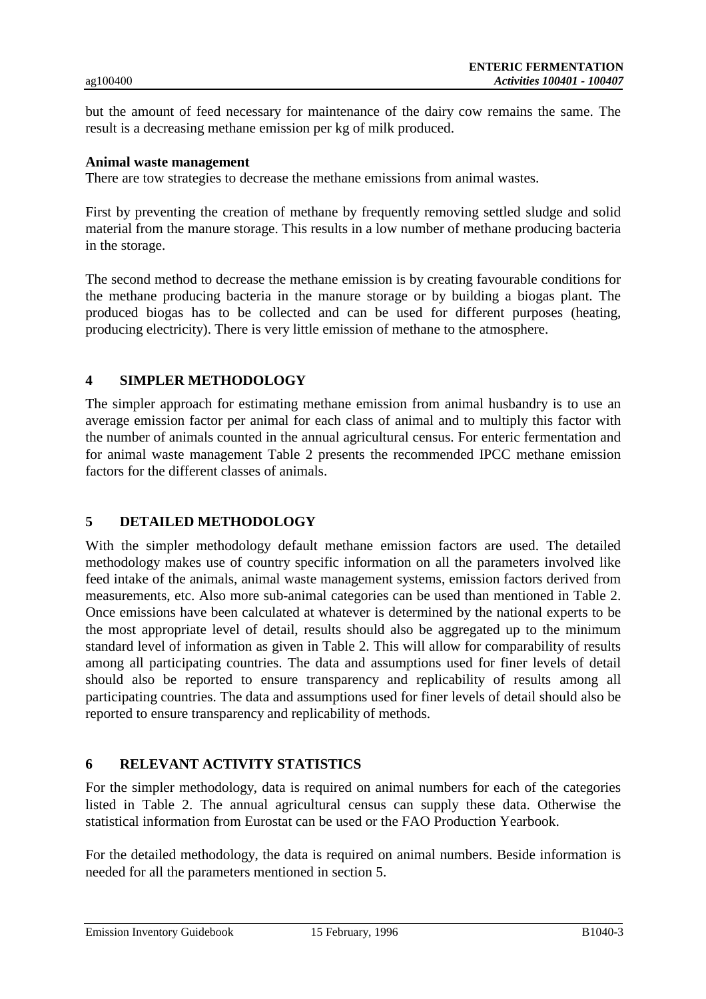but the amount of feed necessary for maintenance of the dairy cow remains the same. The result is a decreasing methane emission per kg of milk produced.

## **Animal waste management**

There are tow strategies to decrease the methane emissions from animal wastes.

First by preventing the creation of methane by frequently removing settled sludge and solid material from the manure storage. This results in a low number of methane producing bacteria in the storage.

The second method to decrease the methane emission is by creating favourable conditions for the methane producing bacteria in the manure storage or by building a biogas plant. The produced biogas has to be collected and can be used for different purposes (heating, producing electricity). There is very little emission of methane to the atmosphere.

## **4 SIMPLER METHODOLOGY**

The simpler approach for estimating methane emission from animal husbandry is to use an average emission factor per animal for each class of animal and to multiply this factor with the number of animals counted in the annual agricultural census. For enteric fermentation and for animal waste management Table 2 presents the recommended IPCC methane emission factors for the different classes of animals.

# **5 DETAILED METHODOLOGY**

With the simpler methodology default methane emission factors are used. The detailed methodology makes use of country specific information on all the parameters involved like feed intake of the animals, animal waste management systems, emission factors derived from measurements, etc. Also more sub-animal categories can be used than mentioned in Table 2. Once emissions have been calculated at whatever is determined by the national experts to be the most appropriate level of detail, results should also be aggregated up to the minimum standard level of information as given in Table 2. This will allow for comparability of results among all participating countries. The data and assumptions used for finer levels of detail should also be reported to ensure transparency and replicability of results among all participating countries. The data and assumptions used for finer levels of detail should also be reported to ensure transparency and replicability of methods.

# **6 RELEVANT ACTIVITY STATISTICS**

For the simpler methodology, data is required on animal numbers for each of the categories listed in Table 2. The annual agricultural census can supply these data. Otherwise the statistical information from Eurostat can be used or the FAO Production Yearbook.

For the detailed methodology, the data is required on animal numbers. Beside information is needed for all the parameters mentioned in section 5.

Emission Inventory Guidebook 15 February, 1996 B1040-3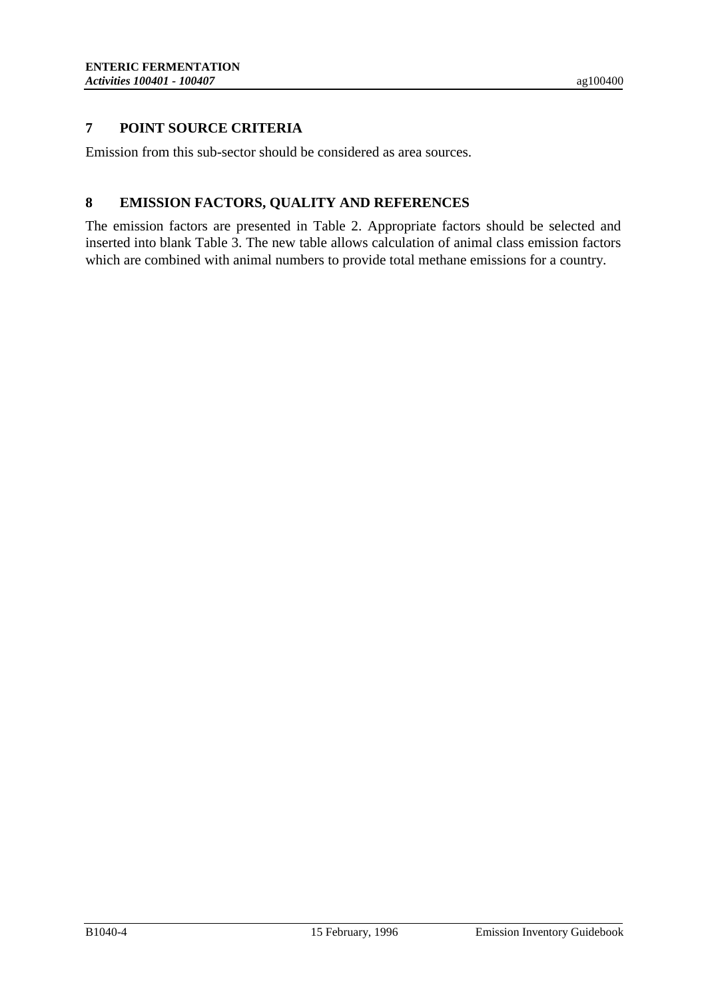# **7 POINT SOURCE CRITERIA**

Emission from this sub-sector should be considered as area sources.

# **8 EMISSION FACTORS, QUALITY AND REFERENCES**

The emission factors are presented in Table 2. Appropriate factors should be selected and inserted into blank Table 3. The new table allows calculation of animal class emission factors which are combined with animal numbers to provide total methane emissions for a country.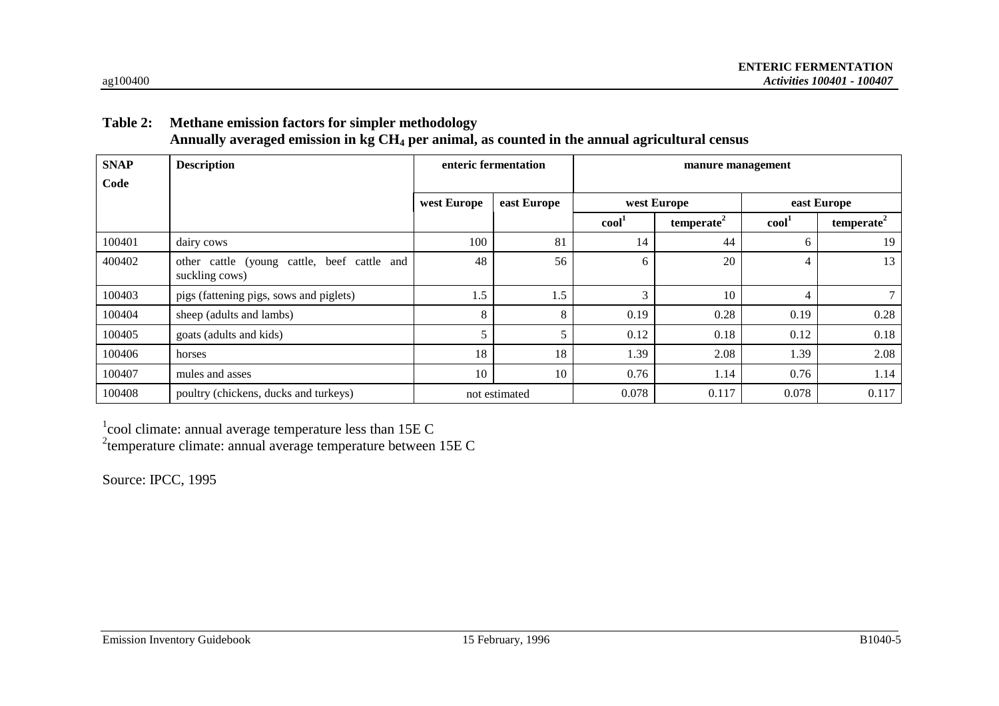# **Table 2: Methane emission factors for simpler methodology Annually averaged emission in kg CH4 per animal, as counted in the annual agricultural census**

| <b>SNAP</b> | <b>Description</b>                                            |               | enteric fermentation | manure management |                        |                 |                        |  |
|-------------|---------------------------------------------------------------|---------------|----------------------|-------------------|------------------------|-----------------|------------------------|--|
| Code        |                                                               |               |                      |                   |                        |                 |                        |  |
|             |                                                               | west Europe   | east Europe          | west Europe       |                        | east Europe     |                        |  |
|             |                                                               |               |                      | cool <sup>1</sup> | temperate <sup>2</sup> | $\text{cool}^1$ | temperate <sup>2</sup> |  |
| 100401      | dairy cows                                                    | 100           | 81                   | 14                | 44                     | 6               | 19                     |  |
| 400402      | other cattle (young cattle, beef cattle and<br>suckling cows) | 48            | 56                   | 6                 | 20                     | 4               | 13                     |  |
| 100403      | pigs (fattening pigs, sows and piglets)                       | 1.5           | 1.5                  | 3                 | 10                     | $\overline{4}$  |                        |  |
| 100404      | sheep (adults and lambs)                                      | 8             | 8                    | 0.19              | 0.28                   | 0.19            | 0.28                   |  |
| 100405      | goats (adults and kids)                                       | 5             |                      | 0.12              | 0.18                   | 0.12            | 0.18                   |  |
| 100406      | horses                                                        | 18            | 18                   | 1.39              | 2.08                   | 1.39            | 2.08                   |  |
| 100407      | mules and asses                                               | 10            | 10                   | 0.76              | 1.14                   | 0.76            | 1.14                   |  |
| 100408      | poultry (chickens, ducks and turkeys)                         | not estimated |                      | 0.078             | 0.117                  | 0.078           | 0.117                  |  |

 $1$ cool climate: annual average temperature less than 15E C

<sup>2</sup>temperature climate: annual average temperature between  $15E C$ 

Source: IPCC, 1995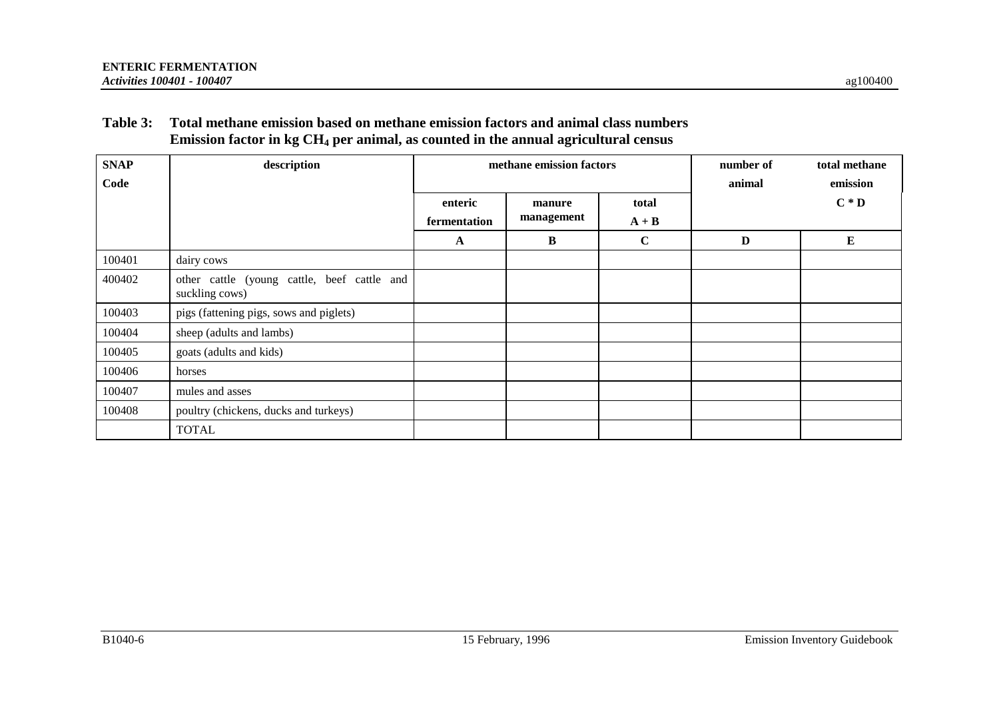# **Table 3: Total methane emission based on methane emission factors and animal class numbers Emission factor in kg CH4 per animal, as counted in the annual agricultural census**

| <b>SNAP</b> | description                                                   |              | methane emission factors | number of   | total methane |          |
|-------------|---------------------------------------------------------------|--------------|--------------------------|-------------|---------------|----------|
| Code        |                                                               |              |                          |             | animal        | emission |
|             |                                                               | enteric      | manure                   | total       |               | $C * D$  |
|             |                                                               | fermentation | management               | $A + B$     |               |          |
|             |                                                               | $\mathbf{A}$ | B                        | $\mathbf C$ | D             | Е        |
| 100401      | dairy cows                                                    |              |                          |             |               |          |
| 400402      | other cattle (young cattle, beef cattle and<br>suckling cows) |              |                          |             |               |          |
| 100403      | pigs (fattening pigs, sows and piglets)                       |              |                          |             |               |          |
| 100404      | sheep (adults and lambs)                                      |              |                          |             |               |          |
| 100405      | goats (adults and kids)                                       |              |                          |             |               |          |
| 100406      | horses                                                        |              |                          |             |               |          |
| 100407      | mules and asses                                               |              |                          |             |               |          |
| 100408      | poultry (chickens, ducks and turkeys)                         |              |                          |             |               |          |
|             | <b>TOTAL</b>                                                  |              |                          |             |               |          |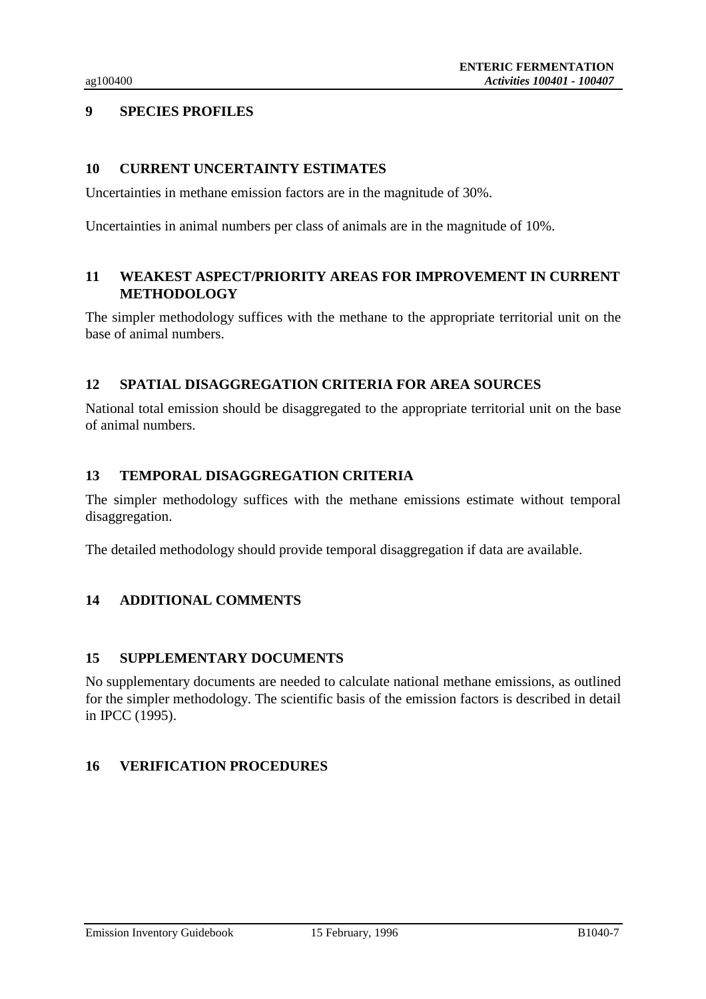# **9 SPECIES PROFILES**

## **10 CURRENT UNCERTAINTY ESTIMATES**

Uncertainties in methane emission factors are in the magnitude of 30%.

Uncertainties in animal numbers per class of animals are in the magnitude of 10%.

# **11 WEAKEST ASPECT/PRIORITY AREAS FOR IMPROVEMENT IN CURRENT METHODOLOGY**

The simpler methodology suffices with the methane to the appropriate territorial unit on the base of animal numbers.

# **12 SPATIAL DISAGGREGATION CRITERIA FOR AREA SOURCES**

National total emission should be disaggregated to the appropriate territorial unit on the base of animal numbers.

# **13 TEMPORAL DISAGGREGATION CRITERIA**

The simpler methodology suffices with the methane emissions estimate without temporal disaggregation.

The detailed methodology should provide temporal disaggregation if data are available.

# **14 ADDITIONAL COMMENTS**

## **15 SUPPLEMENTARY DOCUMENTS**

No supplementary documents are needed to calculate national methane emissions, as outlined for the simpler methodology. The scientific basis of the emission factors is described in detail in IPCC (1995).

# **16 VERIFICATION PROCEDURES**